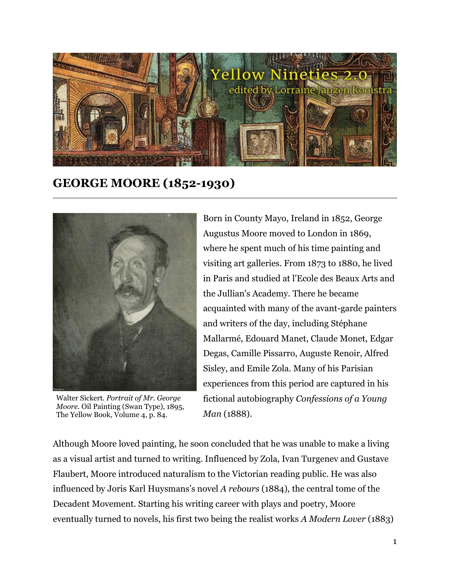

**GEORGE MOORE (1852-1930)**



Walter Sickert. *Portrait of Mr. George Moore*. Oil Painting (Swan Type), 1895, The Yellow Book, Volume 4, p. 84.

Born in County Mayo, Ireland in 1852, George Augustus Moore moved to London in 1869, where he spent much of his time painting and visiting art galleries. From 1873 to 1880, he lived in Paris and studied at l'Ecole des Beaux Arts and the Jullian's Academy. There he became acquainted with many of the avant-garde painters and writers of the day, including Stéphane Mallarmé, Edouard Manet, Claude Monet, Edgar Degas, Camille Pissarro, Auguste Renoir, Alfred Sisley, and Emile Zola. Many of his Parisian experiences from this period are captured in his fictional autobiography *Confessions of a Young Man* (1888).

Although Moore loved painting, he soon concluded that he was unable to make a living as a visual artist and turned to writing. Influenced by Zola, Ivan Turgenev and Gustave Flaubert, Moore introduced naturalism to the Victorian reading public. He was also influenced by Joris Karl Huysmans's novel *A rebours* (1884), the central tome of the Decadent Movement. Starting his writing career with plays and poetry, Moore eventually turned to novels, his first two being the realist works *A Modern Lover* (1883)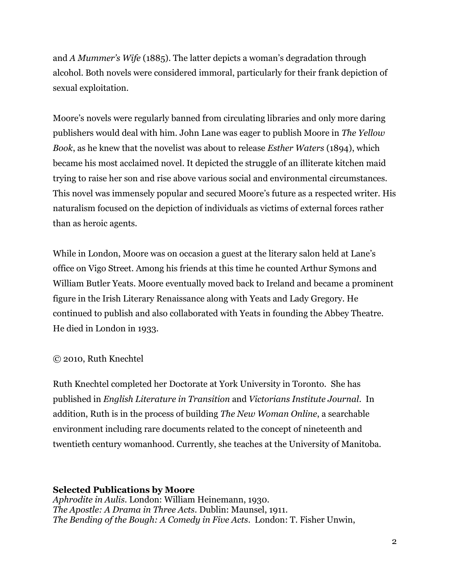and *A Mummer's Wife* (1885). The latter depicts a woman's degradation through alcohol. Both novels were considered immoral, particularly for their frank depiction of sexual exploitation.

Moore's novels were regularly banned from circulating libraries and only more daring publishers would deal with him. John Lane was eager to publish Moore in *[The Yellow](http://www.ryerson.ca/1890s/yellowbook.htm)  [Book](http://www.ryerson.ca/1890s/yellowbook.htm)*, as he knew that the novelist was about to release *Esther Waters* (1894), which became his most acclaimed novel. It depicted the struggle of an illiterate kitchen maid trying to raise her son and rise above various social and environmental circumstances. This novel was immensely popular and secured Moore's future as a respected writer. His naturalism focused on the depiction of individuals as victims of external forces rather than as heroic agents.

While in London, Moore was on occasion a guest at the literary salon held at Lane's office on Vigo Street. Among his friends at this time he counted Arthur Symons and William Butler Yeats. Moore eventually moved back to Ireland and became a prominent figure in the Irish Literary Renaissance along with Yeats and Lady Gregory. He continued to publish and also collaborated with Yeats in founding the Abbey Theatre. He died in London in 1933.

## © 2010, Ruth Knechtel

Ruth Knechtel completed her Doctorate at York University in Toronto. She has published in *English Literature in Transition* and *Victorians Institute Journal*. In addition, Ruth is in the process of building *The New Woman Online*, a searchable environment including rare documents related to the concept of nineteenth and twentieth century womanhood. Currently, she teaches at the University of Manitoba.

## **Selected Publications by Moore**

*Aphrodite in Aulis*. London: William Heinemann, 1930. *The Apostle: A Drama in Three Acts*. Dublin: Maunsel, 1911. *The Bending of the Bough: A Comedy in Five Acts*. London: T. Fisher Unwin,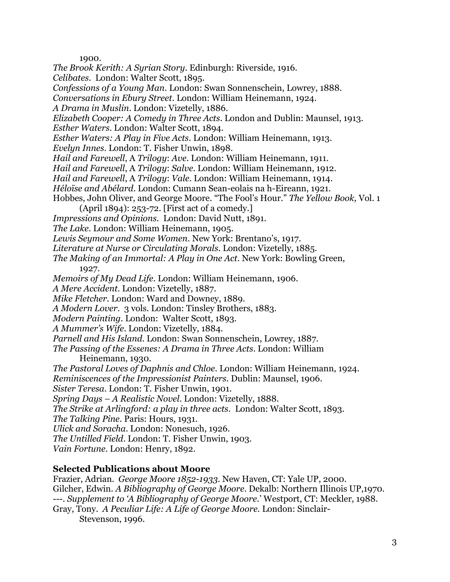1900.

*The Brook Kerith: A Syrian Story*. Edinburgh: Riverside, 1916.

*Celibates*. London: Walter Scott, 1895.

*Confessions of a Young Man*. London: Swan Sonnenschein, Lowrey, 1888.

*Conversations in Ebury Street*. London: William Heinemann, 1924.

*A Drama in Muslin*. London: Vizetelly, 1886.

*Elizabeth Cooper: A Comedy in Three Acts*. London and Dublin: Maunsel, 1913.

*Esther Waters*. London: Walter Scott, 1894.

*Esther Waters: A Play in Five Acts*. London: William Heinemann, 1913.

*Evelyn Innes*. London: T. Fisher Unwin, 1898.

*Hail and Farewell*, A *Trilogy*: *Ave*. London: William Heinemann, 1911.

*Hail and Farewell*, A *Trilogy*: *Salve*. London: William Heinemann, 1912.

*Hail and Farewell*, A *Trilogy*: *Vale*. London: William Heinemann, 1914.

*Héloïse and Abélard*. London: Cumann Sean-eolais na h-Eireann, 1921.

Hobbes, John Oliver, and George Moore. "The Fool's Hour." *The Yellow Book,* Vol. 1 (April 1894): 253-72. [First act of a comedy.]

*Impressions and Opinions*. London: David Nutt, 1891.

*The Lake*. London: William Heinemann, 1905.

*Lewis Seymour and Some Women*. New York: Brentano's, 1917.

*Literature at Nurse or Circulating Morals*. London: Vizetelly, 1885.

*The Making of an Immortal: A Play in One Act*. New York: Bowling Green,

1927.

*Memoirs of My Dead Life.* London: William Heinemann, 1906.

*A Mere Accident*. London: Vizetelly, 1887.

*Mike Fletcher*. London: Ward and Downey, 1889.

*A Modern Lover*. 3 vols. London: Tinsley Brothers, 1883.

*Modern Painting*. London: Walter Scott, 1893.

*A Mummer's Wife*. London: Vizetelly, 1884.

*Parnell and His Island*. London: Swan Sonnenschein, Lowrey, 1887.

*The Passing of the Essenes: A Drama in Three Acts*. London: William Heinemann, 1930.

*The Pastoral Loves of Daphnis and Chloe*. London: William Heinemann, 1924.

*Reminiscences of the Impressionist Painters*. Dublin: Maunsel, 1906.

*Sister Teresa*. London: T. Fisher Unwin, 1901.

*Spring Days – A Realistic Novel*. London: Vizetelly, 1888.

*The Strike at Arlingford: a play in three acts*. London: Walter Scott, 1893.

*The Talking Pine*. Paris: Hours, 1931.

*Ulick and Soracha*. London: Nonesuch, 1926.

*The Untilled Field*. London: T. Fisher Unwin, 1903.

*Vain Fortune*. London: Henry, 1892.

## **Selected Publications about Moore**

Frazier, Adrian. *George Moore 1852-1933*. New Haven, CT: Yale UP, 2000. Gilcher, Edwin. *A Bibliography of George Moore*. Dekalb: Northern Illinois UP,1970. ---. *Supplement to 'A Bibliography of George Moore.*' Westport, CT: Meckler, 1988. Gray, Tony. *A Peculiar Life: A Life of George Moore.* London: Sinclair-Stevenson, 1996.